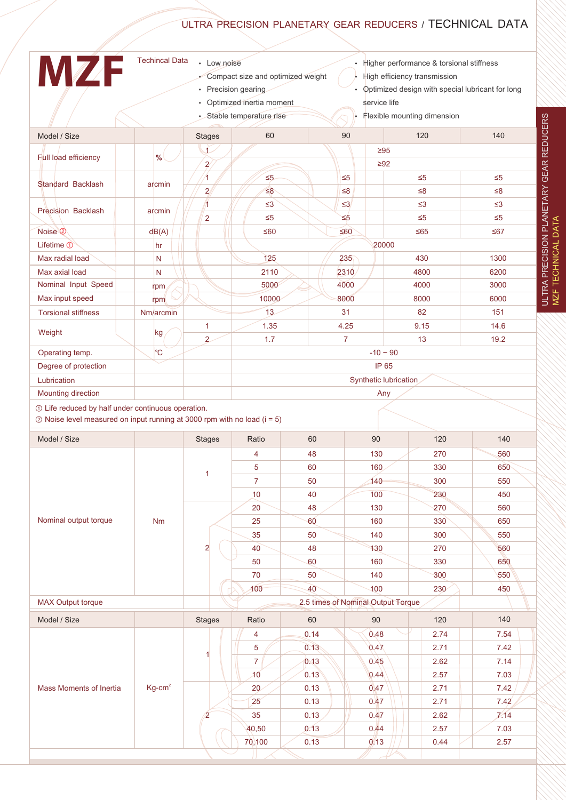## ULTRA PRECISION PLANETARY GEAR REDUCERS / TECHNICAL DATA

| MZF                                                                      | <b>Techincal Data</b><br>• Higher performance & torsional stiffness<br>• Low noise<br>Compact size and optimized weight<br>High efficiency transmission<br>• Precision gearing<br>• Optimized design with special lubricant for long<br>• Optimized inertia moment<br>service life<br>· Stable temperature rise<br>Flexible mounting dimension |                |                       |           |                                    |          |          |  |  |
|--------------------------------------------------------------------------|------------------------------------------------------------------------------------------------------------------------------------------------------------------------------------------------------------------------------------------------------------------------------------------------------------------------------------------------|----------------|-----------------------|-----------|------------------------------------|----------|----------|--|--|
|                                                                          |                                                                                                                                                                                                                                                                                                                                                |                |                       |           |                                    |          |          |  |  |
| Model / Size                                                             |                                                                                                                                                                                                                                                                                                                                                | <b>Stages</b>  | 60                    |           | 90                                 | 120      | 140      |  |  |
| Full load efficiency                                                     | %                                                                                                                                                                                                                                                                                                                                              | $\overline{1}$ |                       |           | $\geq 95$                          |          |          |  |  |
|                                                                          |                                                                                                                                                                                                                                                                                                                                                | $\overline{2}$ | $\geq 92$             |           |                                    |          |          |  |  |
| Standard Backlash                                                        | arcmin                                                                                                                                                                                                                                                                                                                                         | 1              | $\leq 5$              |           | $\leq 5$                           | $\leq 5$ | $\leq 5$ |  |  |
|                                                                          |                                                                                                                                                                                                                                                                                                                                                | $\overline{2}$ | $\leq 8$              |           | $\leq 8$                           | $\leq 8$ | $\leq 8$ |  |  |
| Precision Backlash                                                       | arcmin                                                                                                                                                                                                                                                                                                                                         | Ä              | $\leq$ 3              |           | $\leq$ 3                           | $\leq$ 3 | $\leq$ 3 |  |  |
|                                                                          |                                                                                                                                                                                                                                                                                                                                                | $\overline{2}$ | $\leq 5$              |           | $\leq 5$                           | $\leq 5$ | $\leq 5$ |  |  |
| Noise <sup>2</sup>                                                       | dB(A)                                                                                                                                                                                                                                                                                                                                          |                | $≤60$                 | $\leq 60$ |                                    | $≤65$    | $≤67$    |  |  |
| Lifetime $0$                                                             | hr                                                                                                                                                                                                                                                                                                                                             |                |                       |           | 20000                              |          |          |  |  |
| Max radial load                                                          | $\mathsf{N}$                                                                                                                                                                                                                                                                                                                                   |                | 125                   | 235       |                                    | 430      | 1300     |  |  |
| Max axial load                                                           | N                                                                                                                                                                                                                                                                                                                                              |                | 2110                  | 2310      |                                    | 4800     | 6200     |  |  |
| Nominal Input Speed                                                      | rpm                                                                                                                                                                                                                                                                                                                                            |                | 5000                  | 4000      |                                    | 4000     | 3000     |  |  |
| Max input speed                                                          | rpm                                                                                                                                                                                                                                                                                                                                            |                | 10000                 | 8000      |                                    | 8000     | 6000     |  |  |
| <b>Torsional stiffness</b>                                               | Nm/arcmin                                                                                                                                                                                                                                                                                                                                      |                | 13                    | 31        |                                    | 82       | 151      |  |  |
| Weight                                                                   |                                                                                                                                                                                                                                                                                                                                                | 1              | 1.35                  |           | 4.25                               | 9.15     | 14.6     |  |  |
|                                                                          | kg                                                                                                                                                                                                                                                                                                                                             | $\overline{2}$ | 1.7<br>$\overline{7}$ |           |                                    | 13       | 19.2     |  |  |
| Operating temp.                                                          | $^{\circ}$ C                                                                                                                                                                                                                                                                                                                                   |                | $-10 - 90$            |           |                                    |          |          |  |  |
| Degree of protection                                                     |                                                                                                                                                                                                                                                                                                                                                |                |                       |           | IP 65                              |          |          |  |  |
| Lubrication                                                              |                                                                                                                                                                                                                                                                                                                                                |                | Synthetic lubrication |           |                                    |          |          |  |  |
| <b>Mounting direction</b>                                                | Any                                                                                                                                                                                                                                                                                                                                            |                |                       |           |                                    |          |          |  |  |
| 1 Life reduced by half under continuous operation.                       |                                                                                                                                                                                                                                                                                                                                                |                |                       |           |                                    |          |          |  |  |
|                                                                          |                                                                                                                                                                                                                                                                                                                                                |                |                       |           |                                    |          |          |  |  |
| 2 Noise level measured on input running at 3000 rpm with no load (i = 5) |                                                                                                                                                                                                                                                                                                                                                |                |                       |           |                                    |          |          |  |  |
| Model / Size                                                             |                                                                                                                                                                                                                                                                                                                                                | <b>Stages</b>  | Ratio                 | 60        | 90                                 | 120      | 140      |  |  |
|                                                                          |                                                                                                                                                                                                                                                                                                                                                |                | 4                     | 48        | 130                                | 270      | 560      |  |  |
|                                                                          |                                                                                                                                                                                                                                                                                                                                                |                | 5                     | 60        | 160                                | 330      | 650      |  |  |
|                                                                          |                                                                                                                                                                                                                                                                                                                                                | 1              | 7                     | 50        | 140                                | 300      | 550      |  |  |
|                                                                          |                                                                                                                                                                                                                                                                                                                                                |                | 10                    | 40        | 100                                | 230      | 450      |  |  |
|                                                                          |                                                                                                                                                                                                                                                                                                                                                |                | 20                    | 48        | 130                                | 270      | 560      |  |  |
| Nominal output torque                                                    | <b>Nm</b>                                                                                                                                                                                                                                                                                                                                      |                | 25                    | 60        | 160                                | 330      | 650      |  |  |
|                                                                          |                                                                                                                                                                                                                                                                                                                                                |                | 35                    | 50        | 140                                | 300      | 550      |  |  |
|                                                                          |                                                                                                                                                                                                                                                                                                                                                | $\overline{a}$ | 40                    | 48        | 130                                | 270      | 560      |  |  |
|                                                                          |                                                                                                                                                                                                                                                                                                                                                |                | 50                    | 60        | 160                                | 330      | 650      |  |  |
|                                                                          |                                                                                                                                                                                                                                                                                                                                                |                | 70                    | 50        | 140                                | 300      | 550      |  |  |
|                                                                          |                                                                                                                                                                                                                                                                                                                                                |                | 100                   | 40        | 100                                | 230      | 450      |  |  |
| <b>MAX Output torque</b>                                                 |                                                                                                                                                                                                                                                                                                                                                |                |                       |           | 2.5 times of Nominal Output Torque |          |          |  |  |
| Model / Size                                                             |                                                                                                                                                                                                                                                                                                                                                | <b>Stages</b>  | Ratio                 | 60        | $90\,$                             | 120      | 140      |  |  |
|                                                                          |                                                                                                                                                                                                                                                                                                                                                |                | 4                     | 0.14      | 0.48                               | 2.74     | 7.54     |  |  |
|                                                                          |                                                                                                                                                                                                                                                                                                                                                |                | 5                     | 0.13      | 0.47                               | 2.71     | 7.42     |  |  |
|                                                                          |                                                                                                                                                                                                                                                                                                                                                | 1              | 7                     | 0.13      | 0.45                               | 2.62     | 7.14     |  |  |
|                                                                          |                                                                                                                                                                                                                                                                                                                                                |                | 10                    | 0.13      | 0.44                               | 2.57     | 7.03     |  |  |
| Mass Moments of Inertia                                                  | $Kg-cm2$                                                                                                                                                                                                                                                                                                                                       |                | 20                    | 0.13      | 0.47                               | 2.71     | 7.42     |  |  |
|                                                                          |                                                                                                                                                                                                                                                                                                                                                |                | 25                    | 0.13      | 0.47                               | 2.71     | 7.42     |  |  |
|                                                                          |                                                                                                                                                                                                                                                                                                                                                | 2              | 35                    | 0.13      | 0.47                               | 2.62     | 7/14     |  |  |
|                                                                          |                                                                                                                                                                                                                                                                                                                                                |                | 40,50                 | 0.13      | 0.44                               | 2.57     | 7.03     |  |  |
|                                                                          |                                                                                                                                                                                                                                                                                                                                                |                | 70,100                | 0.13      | 0.13                               | 0.44     | 2.57     |  |  |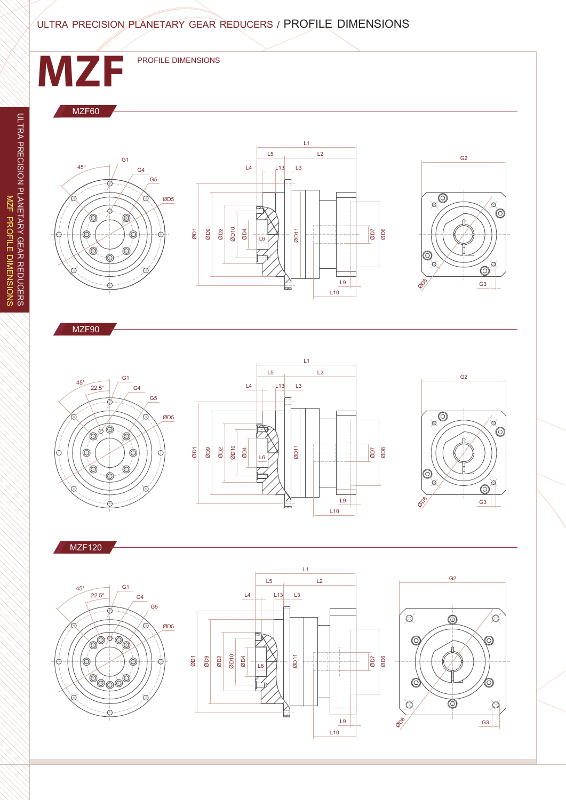## ULTRA PRECISION PLANETARY GEAR REDUCERS / PROFILE DIMENSIONS



ØD4 ØD10 ØD2 ØD9

L6

ØD11

 $\frac{5}{2}$ 

ØD5

 $\dot{\oplus}$ 

`Ø

 $\oslash$ 

Ĉ

**OPP** 

000

 $\overset{\rightharpoonup}{\oplus}$ 

Ċ

೧

**PD**8

 $\circledcirc$ 

C

 $\alpha$ 

 $\dot{\Omega}$ 

 $\overline{\circledcirc}$ 

ØD7 ØD6

 $L9$ L10

G3

 $^{\circledR}$ 

10

 $\oslash$